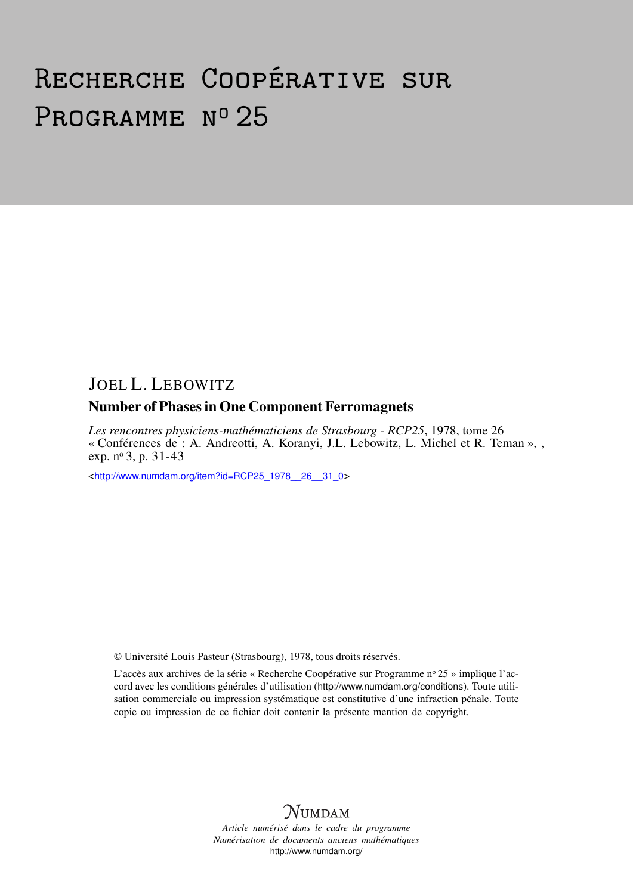# Recherche Coopérative sur PROGRAMME Nº 25

# JOEL L. LEBOWITZ

## Number of Phases in One Component Ferromagnets

*Les rencontres physiciens-mathématiciens de Strasbourg - RCP25*, 1978, tome 26 « Conférences de : A. Andreotti, A. Koranyi, J.L. Lebowitz, L. Michel et R. Teman », , exp. nº 3, p. 31-43

<[http://www.numdam.org/item?id=RCP25\\_1978\\_\\_26\\_\\_31\\_0](http://www.numdam.org/item?id=RCP25_1978__26__31_0)>

© Université Louis Pasteur (Strasbourg), 1978, tous droits réservés.

L'accès aux archives de la série « Recherche Coopérative sur Programme nº 25 » implique l'accord avec les conditions générales d'utilisation (<http://www.numdam.org/conditions>). Toute utilisation commerciale ou impression systématique est constitutive d'une infraction pénale. Toute copie ou impression de ce fichier doit contenir la présente mention de copyright.



*Article numérisé dans le cadre du programme Numérisation de documents anciens mathématiques* <http://www.numdam.org/>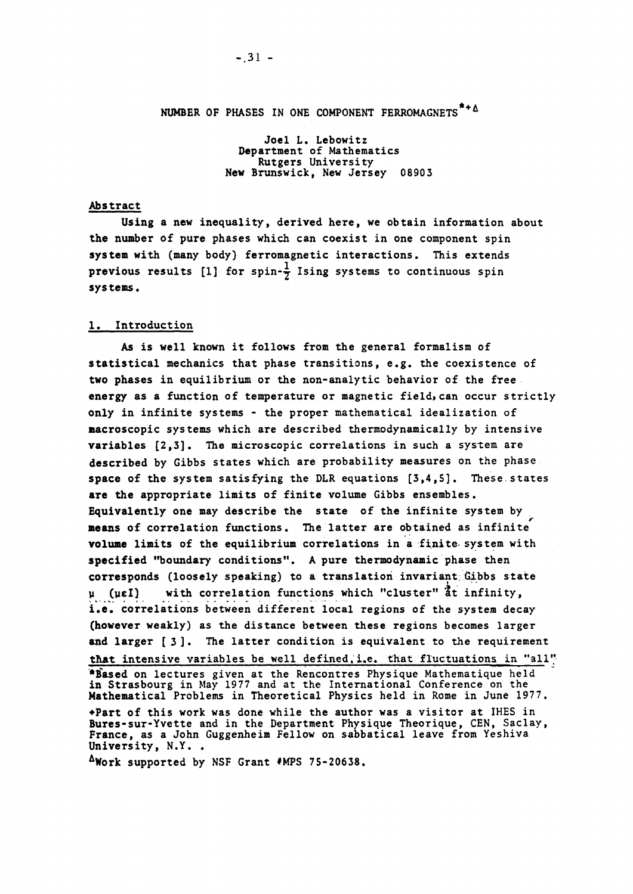Joël L. Lebowitz Department of Mathematics Rutgers University New Brunswick, New Jersey 08903

#### Abstract

Using a new inequality, derived here, we obtain **information** about the number of pure phases which can coexist in one component spin System with (many body) **ferromagnetic** interactions. This extends previous results [1] for spin- $\frac{1}{\tau}$  Ising systems to continuous spin Systems.

#### 1. Introduction

As is well known it follows from the general formalism of statistical mechanics that phase transitions, e.g. the coexistence of two phases in equilibrium or the non-analytic behavior of the free energy as a function of temperature or magnetic field, can occur strictly only in infinité **Systems** - the proper **mathematical** idealization of macroscopic **Systems** which are described **thermodynamically** by intensive variables  $\{2,3\}$ . The microscopic correlations in such a system are described by Gibbs states which are probability measures **on** the phase space of the system satisfying the DLR equations [3,4,5]. These states are the appropriate limits of finite volume Gibbs ensembles. Equivalently one may describe the state of the infinité **System** by means of correlation functions. The latter are obtained as infinite volume limits of the equilibrium correlations in a finite system with specified "boundary conditions". A pure thermodynamic phase then corresponds (loosely speaking) to a translation invariant Gibbs state  $\mu$  ( $\mu \in I$ ) with correlation functions which "cluster" at infinity, i.e. correlations between different local regions of the system decay (however weakly) as the distance between these regions becomes larger and larger [3]. The latter condition is equivalent to the requirement that intensive variables be well defined.i.e. that fluctuations in "ail" •Based on lectures given **at** the Rencontres Physique Mathématique held in Strasbourg in May 1977 **and** at the International Conférence on the Mathematical Problems in Theoretical Physics held in Rome in June 1977. •Part of this work was done while the author was a visiter at IHES in Bures-sur-Yvette and in the Department Physique Theorique, CEN, Saclay, France, as a John Guggenheim Fellow on sabbatical leave from Yeshiva University, N.Y..

AWork supported by NSF Grant #MPS 75-20638.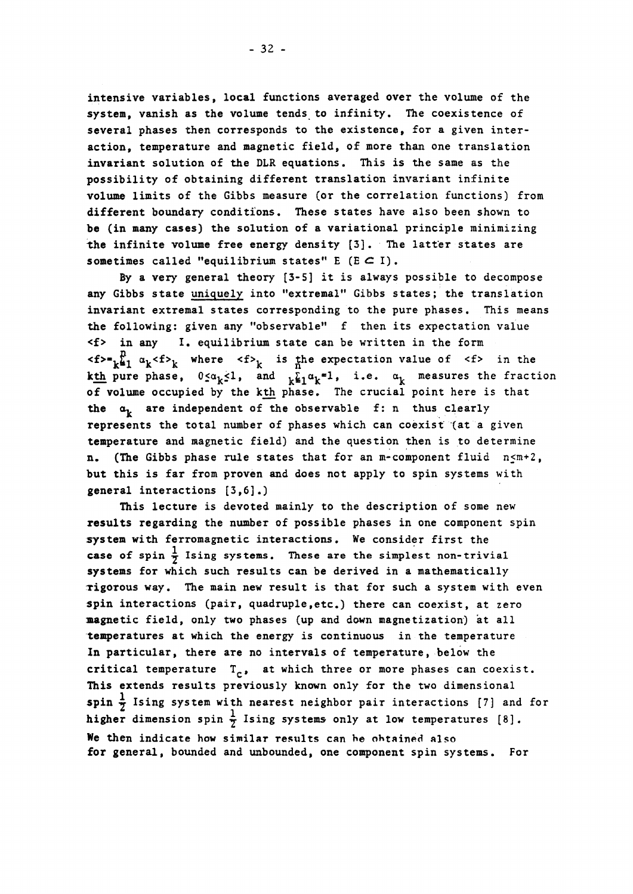intensive variables, local functions averaged ver the volume of the system, vanish as the volume tends to infinity. The coexistence of several phases then corresponds to the existence, for a given interaction, temperature and magnetic field, of more than one translation invariant solution of the DLR équations. This is the same as the possibility of obtaining différent translation invariant infinité volume limits of the Gibbs measure (or the correlation functions) from different boundary conditions. These states have also been shown to be (in many cases) the solution of a variational principle minimizing the infinité volume free energy density [3]. The latter states are sometimes called "equilibrium states"  $E(E \subset I)$ .

By a very general theory [3-5] it is always possible to decompose any Gibbs state uniquely into "extremal" Gibbs states; the translation invariant extremal states corresponding to the pure phases. This means the following: given any "observable" f then its expectation value <f> in any I. equilibrium state can be written in the form  $\langle f \rangle = \frac{1}{k+1} a_k \langle f \rangle$  where  $\langle f \rangle$  is the expectation value of  $\langle f \rangle$  in the **kth** pure phase,  $0 \leq \alpha_k \leq 1$ , and  $\sum_{k=1}^{k} \alpha_k = 1$ , i.e.  $\alpha_k$  measures the fraction of volume occupied by the kth phase. The crucial point here is that the  $a_t$  are independent of the observable f: n thus clearly represents the total number of phases which can coexist (at a given temperature and magnetic field) and the question then is to determine n. (The Gibbs phase rule states that for an m-component fluid n<m+2, but this is far from proven and does not apply to spin Systems with general interactions [3,6].)

This lecture is devoted mainly to the description of some new results regarding the number of possible phases in one component spin System with ferromagnetic interactions. We consider first the case of spin  $\frac{1}{7}$  Ising systems. These are the simplest non-trivial systems for which such results can be derived in a mathematically Tigorous way. The main new resuit is that for such a System with even spin interactions (pair, quadruple, etc.) there can coexist, at zero magnetic field, only two phases (up and down magnetization) at ail temperatures at which the energy is continuous in the temperature In particular, there are no intervals of temperature, below the critical temperature  $T_{c}$ , at which three or more phases can coexist. This extends results previously known only for the two dimensional spin  $\frac{1}{7}$  Ising system with nearest neighbor pair interactions [7] and for higher dimension spin  $\frac{1}{x}$  Ising systems only at low temperatures [8]. We then indicate how similar results can be obtained also for gênerai, bounded and unbounded, one component spin **Systems.** For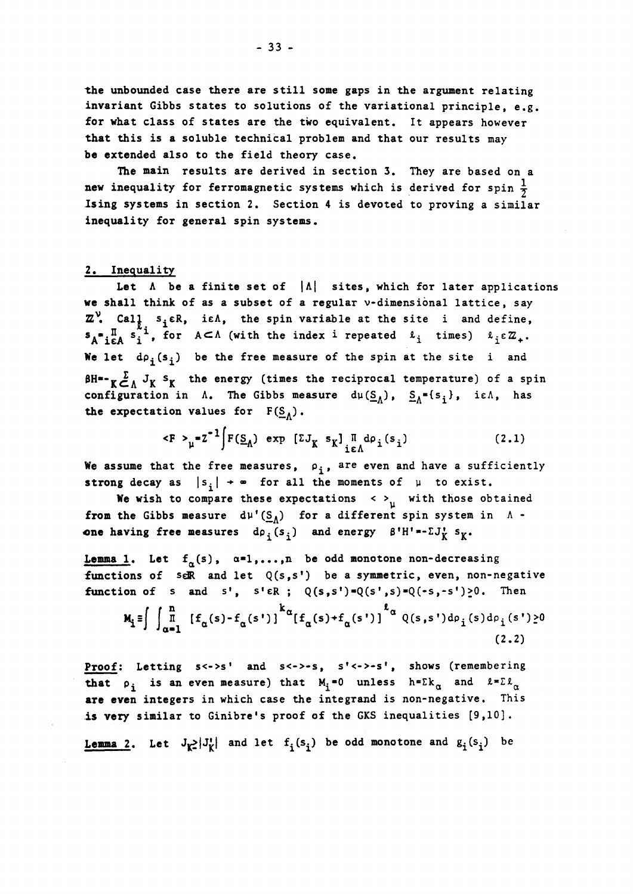the unbounded case there are still some gaps in the argument relating invariant Gibbs states to solutions of the variational principle, e.g. for what class of states are the two equivalent. It appears however that this is a soluble technical problem and that our results may be extended also to the field theory case.

The main results are derived in section 3. They are based on a new inequality for ferromagnetic systems which is derived for spin  $\frac{1}{2}$ Ising **Systems** in section 2. Section 4 is devoted to proving a similar inequality for gênerai spin **Systems,** 

#### 2, Inequality

Let  $\Lambda$  be a finite set of  $|\Lambda|$  sites, which for later applications **we** shall think of as a subset of a regular v-dimensional lattice, say *Z*, Cal<sub>1</sub>, s<sub>i</sub>εR, iεΛ, the spin variable at the site i and define,  $\mathbf{S_A^*}_{i\in A}$   $\mathbf{S_i^-}$ , for  $A\subset \Lambda$  (with the index 1 repeated  $\mathcal{L}_i$  times)  $\mathcal{L}_i \in \mathbb{Z}_+$ . We let  $d\rho_i(s_i)$  be the free measure of the spin at the site i and  $\beta$ H<sup>\*</sup>- $\gamma \sum_{\alpha}^{R} J_{\alpha}$  s<sub>K</sub> the energy (times the reciprocal temperature) of a spin configuration in  $\Lambda$ . The Gibbs measure  $d\mu(\underline{S}_{\Lambda})$ ,  $\underline{S}_{\Lambda}^{*}\{s_{\hat{i}}\}$ , ie $\Lambda$ , has the expectation values for  $F(S_A)$ .

$$
\langle F \rangle_{\mu} = Z^{-1} \int F(\underline{S}_{\Lambda}) \exp \left[ Z J_{K} s_{K} \right]_{i \in \Lambda}^{\Pi} d\rho_{i}(s_{i})
$$
 (2.1)

We assume that the free measures,  $\rho_i$ , are even and have a sufficiently strong decay as  $|s_i| \rightarrow \infty$  for all the moments of  $\mu$  to exist.

We wish to compare these expectations <  $>^w_u$  with those obtained **from the Gibbs measure**  $d\mu^{\dagger}(S_A)$  for a different spin system in  $\Lambda$  **one** having free measures  $d\rho_i(s_i)$  and energy  $\beta^i H^{i} * - \Sigma J_K^{i} s_K^*$ .

**Lemma 1.** Let  $f_\alpha(s)$ ,  $\alpha=1,\ldots,n$  be odd monotone non-decreasing functions of seR and let  $Q(s,s')$  be a symmetric, even, non-negative function of s and s',  $s' \in R$ ;  $Q(s,s') = Q(s',s) = Q(-s',-s') \ge 0$ . Then  $\mathbf{M}_{i} \equiv \int \int_{-\infty}^{\mathbf{n}} [f_{\alpha}(s)-f_{\alpha}(s')]\int_{-\infty}^{k} [f_{\alpha}(s)+f_{\alpha}(s')]\int_{-\infty}^{\ell} Q(s,s')d\rho_{i}(s)d\rho_{i}(s')\geq 0$  $(2, 2)$ 

Proof: Letting  $s \le s'$  and  $s \le s - s$ ,  $s' \le s - s'$ , shows (remembering **that**  $\rho_i$  is an even measure) that  $M_i = 0$  unless  $h = \Sigma k_\alpha$  and  $\ell = \Sigma k_\alpha$ are even integers in which case the integrand is non-negative. This is very similar to Ginibre's proof of the GKS inequalities [9,10]·

**Lemma 2.** Let  $J_{\mathbf{k}}$  $J_{\mathbf{k}}^{\dagger}$  and let  $f_i(s_i)$  be odd monotone and  $g_i(s_i)$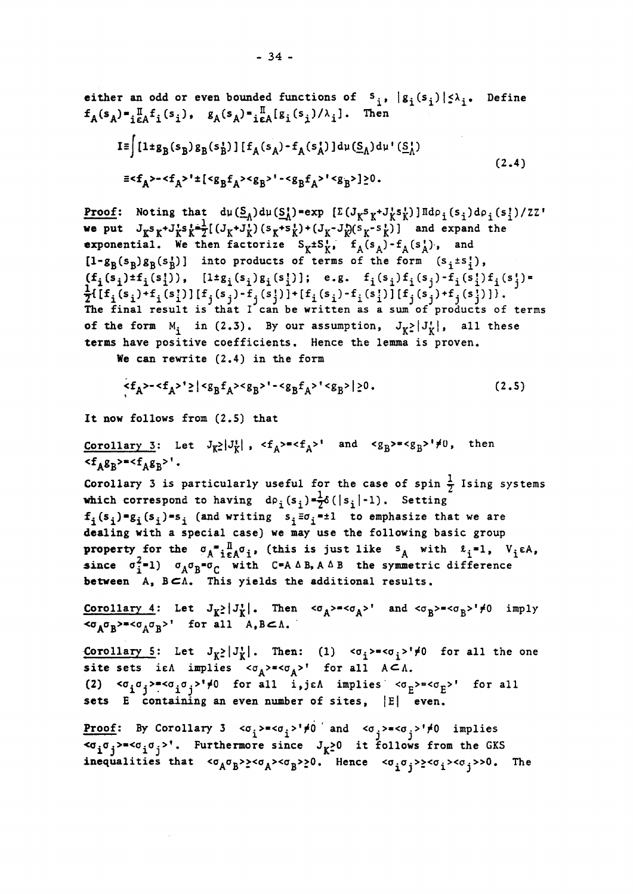either an odd or even bounded functions of 
$$
s_i
$$
,  $|g_i(s_i)| \le \lambda_i$ . Define  
\n $f_A(s_A) = \prod_{i \in A} f_i(s_i)$ ,  $g_A(s_A) = \prod_{i \in A} [g_i(s_i)/\lambda_i]$ . Then  
\n
$$
I = \int [1 + g_B(s_B) g_B(s_B^*)] [f_A(s_A) - f_A(s_A^*)] d\mu(\underline{S}_A) d\mu'(\underline{S}_A^*)
$$
\n
$$
=  $f_A > - $f_A > 1$  +  $[ $g_B f_A >  $g_B > 1 -  $g_B f_A > 1$   $[ $g_B f_A > 1$   $[ $g_B f_A > 1$   $[ $g_B f_A > 1$   $[ $g_B f_A > 1$   $[ $g_B f_A > 1$   $[ $g_B f_A > 1$   $[ $g_B f_A > 1$   $[ $g_B f_A > 1$   $[ $g_B f_A > 1$   $[ $g_B f_A > 1$   $[ $g_B f_A > 1$   $[ $g_B f_A > 1$   $[ $g_B f_A > 1$   $[ $g_B f_A > 1$   $[ $g_B f_A > 1$   $[ $g_B f_A > 1$   $[ $g_B f_A > 1$   $[ $g_B f_A > 1$   $[ $g_B f_A > 1$   $[ $g_B f_A > 1$   $[ $g_B f_A > 1$   $[ $g_B f_A > 1$   $[ $g_B f_A > 1$   $[ $g_B f_A > 1$   $[ $g_B f_A > 1$   $[ $g_B f_A > 1$   $[ $g_B f_A > 1$   $[ $g_B f_A > 1$   $[ $g_B f_A > 1$   $[ $g_B f_A > 1$   $[ $g_B f_A > 1$   $[ $g_B f_A > 1$   $[ $g_B f_A > 1$   $[ $g_B f_A > 1$   $[ $g_B$$$$$$$$$$$$$$$$$$$$$$$$$$$$$$$$$$$$$$$$
$$

Proof: Noting that  $d\mu(\underline{S_A})d\mu(\underline{S_A^{\dagger}})$ =exp  $[\Sigma(J_Ks_K+J_K^*s_K^{\dagger})]\Pi d\rho_i(s_i)d\rho_i(s_i^{\dagger})/ZZ^{\dagger}$ we put  $J_K^S K^{\dagger} J_K^S \dot{K}^{\dagger} Z^{\dagger} (J_K^{\dagger} J_K^{\dagger}) (S_K^{\dagger} S_K^{\dagger})^{\dagger} (J_K^{\dagger} J_K^{\dagger}) (S_K^{\dagger} S_K^{\dagger})$  and expand the exponential. We then factorize  $S_K^-$ t $S_K^-$ ,  $f_A(S_A^-)$ - $f_A(S_A^+)$ , and  $[1-g_B(s_B)g_B(s_B^1)]$  into products of terms of the form  $(s_i\pm s_i^t)$ ,  $(f_i(s_i) \cdot f_i(s_i))$ ,  $[1 \cdot g_i(s_i) g_i(s_i)]$ ; e.g.  $f_i(s_i) f_i(s_j) - f_i(s_i) f_i(s_j) =$  $\frac{1}{2}$ [[f<sub>i</sub>(s<sub>i</sub>)+f<sub>i</sub>(s])] [f<sub>i</sub>(s<sub>i</sub>)-f<sub>i</sub>(s])] + [f<sub>i</sub>(s<sub>i</sub>)-f<sub>i</sub>(s])][f<sub>j</sub>(s<sub>j</sub>)+f<sub>j</sub>(s])]). The final result is that I can be written as a sum of products of terms of the form  $M_i$  in (2.3). By our assumption,  $J_K^{\geq}|J_K^{\dagger}|$ , all these terms have positive coefficients. Hence the lemma is proven.

We can rewrite  $(2.4)$  in the form

$$
\left| \left\langle f_A \right\rangle - \left\langle f_A \right\rangle' \right| < g_B f_A > \left\langle g_B \right\rangle' - \left\langle g_B f_A \right\rangle' < g_B > | \geq 0. \tag{2.5}
$$

It now follows from  $(2.5)$  that

Corollary 3: Let  $J_{K^2}|J_K^1|$ ,  $\langle f_A \rangle = \langle f_A \rangle^1$  and  $\langle g_B \rangle = \langle g_B \rangle^1 \neq 0$ , then  $\langle f_A g_B \rangle = \langle f_A g_B \rangle$ '.

Corollary 3 is particularly useful for the case of spin  $\frac{1}{7}$  Ising systems which correspond to having  $d\rho_i(s_i) = \frac{1}{2}\delta(|s_i| - 1)$ . Setting  $f^{\{s^i\}}(s^i) = g^{\{s^i\}}(s^i)$  (and writing  $s^i, \bar{z}^i, \bar{z}^i$  to emphasize that we are dealing with a special case) we may use the following basic group property for the  $\sigma_A^* = \prod_{i=1}^{\bar{n}} \sigma_i$ , (this is just like  $s_A$  with  $\ell_i^* = 1$ , V since  $\sigma_{\dot{1}}^*$ =1)  $\sigma_A \sigma_B^*$ = $\sigma_C$  with C=A  $\Delta$  B, A  $\Delta$  B the symmetric difference between A, BCA, This yields the additional results.

Corollary 4: Let  $J_K^{\bullet}$  |  $J_K^{\bullet}$ |. Then  $\langle \sigma_A \rangle^* \langle \sigma_A \rangle^*$  and  $\langle \sigma_B \rangle^* \langle \sigma_B \rangle^* \neq 0$  imply  $<\sigma_A \sigma_B> = <\sigma_A \sigma_R>1$  for all  $A, B \subset \Lambda$ .

**Corollary 5:** Let  $J_K \ge |J_K|$ . Then: (1)  $\langle \sigma_i \rangle^* \le \sigma_i \ge |J_F|$  for all the one site sets i $\epsilon \Lambda$  implies  $\langle \sigma_A \rangle^* \prec \sigma_A >^*$  for all  $A \subset \Lambda$ . (2)  $\langle \sigma_i, \sigma_j \rangle = \langle \sigma_i, \sigma_j \rangle$ <sup>1</sup>/<sup>2</sup> for all i,je $\Lambda$  implies  $\langle \sigma_p \rangle = \langle \sigma_p \rangle'$  for all sets  $E$  containing an even number of sites,  $|E|$  even.

**Proof:** By Corollary 3  $\langle \sigma_i \rangle = \langle \sigma_i \rangle' \neq 0$  and  $\langle \sigma_i \rangle = \langle \sigma_i \rangle' \neq 0$  implies  $\langle \sigma_i, \sigma_j \rangle = \langle \sigma_i, \sigma_j \rangle$ . Furthermore since  $J_K \ge 0$  it follows from the GKS inequalities that <σ<sub>A</sub>σ<sub>B</sub>>><σ<sub>A</sub>><σ<sub>B</sub>>>0. Hence <σ<sub>i</sub>σ<sub>i</sub>>><σ<sub>i</sub>>>0. The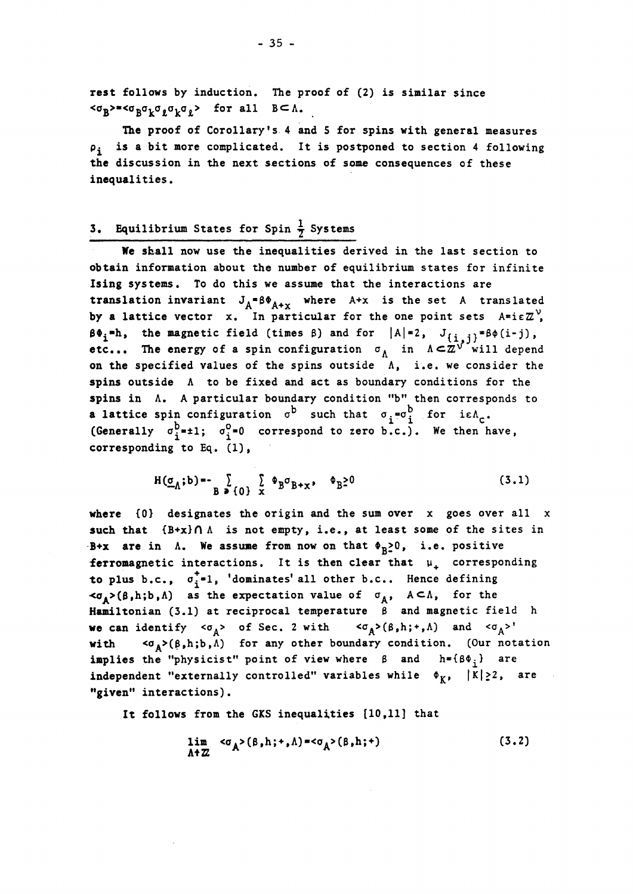rest follows by induction. The proof of (2) is similar since  $\sim$  *B*<sup>-</sup>  $\sim$  *B*<sup>o</sup> *k*<sup>0</sup>*k*<sup>0</sup>*k*<sup>*b*</sup><sub>*k*</sub><sup>*n*</sup>*k*<sup>*2*</sup> *a*<sub>*x*</sub> *a*<sub>*x*</sub> *a*<sub>*x*</sub> *a*<sub>*x*</sub> *a*<sub>*x*</sub> *a*<sub>*x*</sub> *a*<sub>*x*</sub> *a*<sub>*x*</sub> *a*<sub>*x*</sub> *a*<sub>*x*</sub> *a*<sub>*x*</sub> *a*<sub>*x*</sub> *a*<sub>*x*</sub> *a*<sub>*x*</sub> *a*<sub>*x*</sub> *a*<sub>*x*</sub> *a*<sub>*x*</sub> *a*<sub>*</sub>* 

The proof of Corollary's 4 and 5 for spins with general measures  $\rho_i$  is a bit more complicated. It is postponed to section 4 following the discussion in the next sections of some consequences of these inequalities.

## **3. Equilibrium States for Spin**  $\frac{1}{7}$  **Systems**

We skall now use the inequalities derived in the last section to obtain information about the number of equilibrium states for infinité Ising Systems. To do this we assume that the interactions are translation invariant  $J_A * \beta \Phi_{A+\gamma}$  where A+x is the set A transla by a lattice vector x. In particular for the one point sets  $A = i \epsilon Z^V$ ,  $\beta\Phi_i=h$ , the magnetic field (times  $\beta$ ) and for  $|A|=2$ ,  $J_{\{\frac{i}{2},\frac{i}{2}\}}=\beta\phi(i-j)$ , etc... The energy of a spin configuration  $\sigma_A$  in  $\Lambda \subset \mathbb{Z}^{\sqrt{\tau}}$  will depend on the specified values of the spins outside A, i.e. we consider the spins outside A to be fixed and act as boundary conditions for the spins in A. A particular boundary condition "b" then corresponds to a lattice spin configuration  $\sigma^D$  such that  $\sigma_j = \sigma_j^O$  for ie $\Lambda_{\sigma}$ . (Generally  $\sigma_i^b$ =1;  $\sigma_i^0$ =0 correspond to zero b.c.). We then have, corresponding to Eq.  $(1)$ ,

$$
H(\underline{\sigma}_{\Lambda};b) = -\sum_{B \ni \{0\}} \sum_{x} \Phi_B \sigma_{B+x}, \quad \Phi_B \ge 0
$$
 (3.1)

where  ${0}$  designates the origin and the sum over x goes over all x such that  ${B+x} \cap \Lambda$  is not empty, i.e., at least some of the sites in B+x are in  $\Lambda$ . We assume from now on that  $\Phi_{R} \geq 0$ , i.e. positive ferromagnetic interactions. It is then clear that  $\mu_{\perp}$  corresponding to plus b.c.,  $\sigma_i^{\dagger} = 1$ , 'dominates' all other b.c.. Hence defining  $\langle \sigma_A \rangle (\beta, h; b, \Lambda)$  as the expectation value of  $\sigma_A$ ,  $A \subset \Lambda$ , for the Hamiltonian (3.1) at reciprocal temperature  $\beta$  and magnetic field h we can identify  $<\sigma_A>$  of Sec. 2 with  $<\sigma_A>(\beta,h;+,A)$  and  $<\sigma_A>1$ with  $\langle \sigma_A \rangle (\beta, h; b, \Lambda)$  for any other boundary condition. (Our notation implies the "physicist" point of view where  $\beta$  and  $h = { \beta \Phi_i }$  are independent "externally controlled" variables while  $\phi_K$ ,  $|K|\geq 2$ , are "given" interactions).

It follows from the GKS inequalities [10,11] that

$$
\lim_{\Lambda^+ Z} \langle \sigma_A \rangle (\beta, h; + , \Lambda) = \langle \sigma_A \rangle (\beta, h; +)
$$
 (3.2)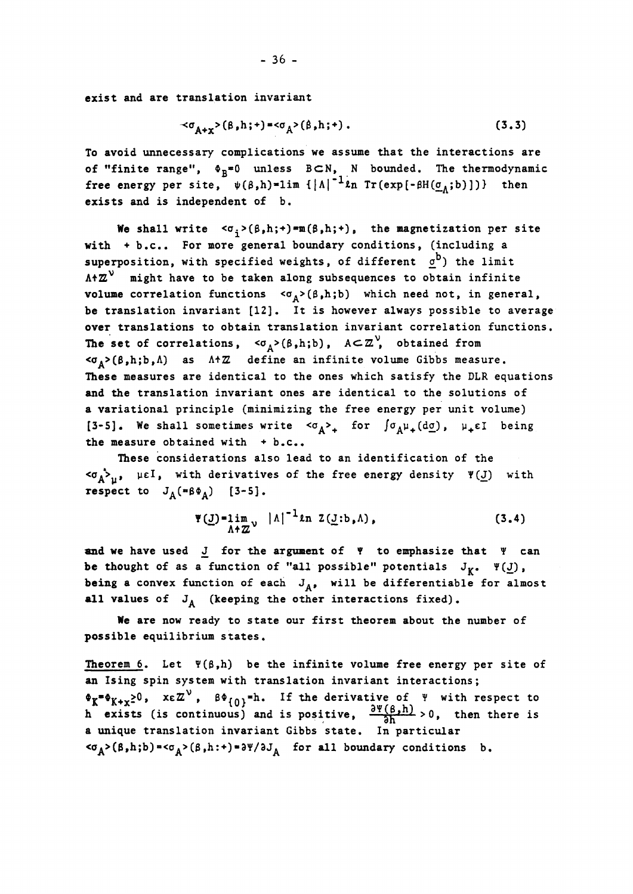exist and are translation invariant

$$
\prec \sigma_{A+\mathbf{x}} > (\beta, h; +) = \langle \sigma_A > (\beta, h; +) . \tag{3.3}
$$

To avoid unnecessary complications we assume that the interactions are of "finite range",  $\Phi_R^*0$  unless BCN, N bounded. The thermodynamic free energy per site,  $\psi(\beta,h) = \lim_{h \to 0} \left\{ |\Lambda|^{-1} \ln \text{Tr}(\exp[-\beta H(\underline{\sigma}_A;b)] ) \right\}$  then exists and is independent of b.

We shall write  $\langle \sigma_i \rangle (\beta, h; \cdot) = m(\beta, h; \cdot)$ , the magnetization per site with  $+ b.c..$  For more general boundary conditions, (including a superposition, with specified weights, of different  $\sigma^D$ ) the limit  $A+Z^V$  might have to be taken along subsequences to obtain infinite volume correlation functions < $\sigma_A > (\beta, h; b)$  which need not, in general, be translation invariant [12]. It is however always possible to average over translations to obtain translation invariant correlation functions. The set of correlations,  $\langle \sigma_A \rangle (\beta, h; b)$ ,  $A \subset \mathbb{Z}^{\vee}$ , obtained from  $<\sigma_A>(\beta,h;b,\Lambda)$  as  $\Lambda^+Z$  define an infinite volume Gibbs measure. These measures are identical to the ones which satisfy the DLR equations and the translation invariant ones are identical to the solutions of a variational principle (minimizing the free energy per unit volume) [3-5]. We shall sometimes write  $\langle \sigma_A \rangle$  for  $\int \sigma_A \mu_A(d\sigma)$ ,  $\mu_A \in I$  being the measure obtained with  $+ b.c..$ 

These considerations also lead to an identification of the  $\langle \sigma_A^* \rangle_{\mathfrak{U}}$ ,  $\mu \in I$ , with derivatives of the free energy density  $\Psi(\underline{J})$  with respect to  $J_A$ (" $\beta \Phi_A$ ) [3-5].

$$
\Psi(\underline{J}) = \lim_{\Lambda + \mathbb{Z}^{\vee}} |\Lambda|^{-1} \ln Z(\underline{J}:b, \Lambda), \qquad (3.4)
$$

and we have used  $J$  for the argument of  $\forall$  to emphasize that  $\forall$  can be thought of as a function of "all possible" potentials  $J^R$ ,  $\Psi(\underline{J})$ , being a convex function of each  $J_A$ , will be differentiable for almost all values of  $J_A$  (keeping the other interactions fixed).

We are now ready to state our first theorem about the number of possible equilibrium states.

Theorem 6. Let  $\Psi(\beta,h)$  be the infinite volume free energy per site of an Ising spin System with translation invariant interactions ;  $\bullet$ <sub>K+x</sub><sub>2</sub>0, xεΖ<sup>ν</sup>, β $\bullet$ <sub>{0}</sub>=h. If the derivative of Ψ with respect to h exists (is continuous) and is positive,  $\frac{\partial^{T}(\text{D},n)}{\partial h} > 0$ , then there is a unique translation invariant Gibbs state. In particular  $<\sigma_A>(\beta,h;b)=<\sigma_A>(\beta,h:+)=\partial\Psi/\partial J_A$  for all boundary conditions b.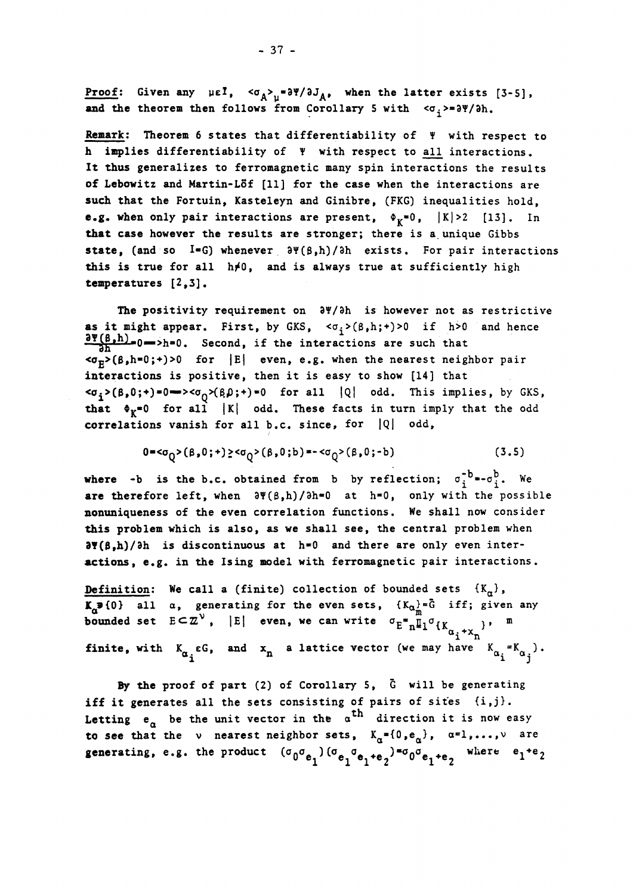Proof: Given any  $\mu \in I$ ,  $\langle \sigma_A \rangle_\mu = \partial \Psi / \partial J_A$ , when the latter exists [3-5], and the theorem then follows from Corollary 5 with  $\langle \sigma_i \rangle = \partial \Psi / \partial h$ .

Remark: Theorem 6 states that differentiability of  $\Psi$  with respect to h implies differentiability of  $\Psi$  with respect to all interactions. It thus generalizes to ferromagnetic many spin interactions the results of Lebowitz and Martin-Löf [11] for the case when the interactions are such that the Fortuin, Kasteleyn and Ginibre, (FKG) inequalities hold, **e.g.** when only pair interactions are present,  $\Phi_{K} = 0$ ,  $|K| > 2$  [13]. In that case however the results are stronger; there is a unique Gibbs state, (and so I=G) whenever  $\partial \Psi(\beta,h)/\partial h$  exists. For pair interactions this is true for all  $h\neq 0$ , and is always true at sufficiently high temperatures [2,3].

The positivity requirement on  $\partial \Psi / \partial h$  is however not as restrictive as it might appear. First, by GKS,  $\langle \sigma_i, h; \cdot \rangle > 0$  if h>0 and hence  $\frac{\sigma_{\text{S}}^{\text{S}}(B_{\text{S}}-B)}{\sigma_{\text{S}}^{\text{S}}(B)}$  or  $\sigma_{\text{S}}^{\text{S}}$ . Second, if the interactions are such that  $\overline{\text{p}}$ ( $\beta$ ,h=0;+)>0 for |E| even, e.g. when the nearest neighbor pair interactions is positive, then it is easy to show [14] that  $\langle \sigma_i \rangle (\beta, 0; \cdot) = 0 \Longrightarrow \langle \sigma_i \rangle (\beta, \beta; \cdot) = 0$  for all  $|Q|$  odd. This implies, by GKS, that  $\Phi_{\chi}=0$  for all |K| odd. These facts in turn imply that the odd correlations vanish for all b.c. since, for  $|Q|$  odd,

$$
0 =  $\sigma_0 > (\beta, 0; +)$   $\geq  $\sigma_0 > (\beta, 0; b) =  $\sigma_0 > (\beta, 0; -b)$  (3.5)$$
$$

where  $-b$  is the  $b$ .c. obtained from b by reflection;  $\sigma_i^{-b}$   $\rightarrow$   $\sigma_i^{b}$ . We are therefore left, when  $\partial \Psi(\beta,h)/\partial h=0$  at  $h=0$ , only with the possible nonuniqueness of the even correlation functions. We shall now consider this problem which is also, as we shall see, the central problem when  $\frac{\partial \Psi(\beta,h)}{\partial h}$  is discontinuous at  $h=0$  and there are only even interactions, e.g. in the Ising model with ferromagnetic pair interactions.

Definition: We call a (finite) collection of bounded sets  $\{K_{\alpha}\}\,$ ,  $K_{\alpha}$  iff; given any all  $\alpha$ , generating for the even sets,  ${K_{\alpha}}$  = G iff; given any bounded set  $E \subset \mathbb{Z}^{\vee}$ ,  $|E|$  even, we can write  $\sigma_E \bigoplus_{n=1}^{\infty} \mathbb{I}_1 \circ_{\{K_{n-1}, \ldots}\}$  $\int_0^{\mu}$  i  $\int$ n finite, with  $K_{\alpha}$  eG, and  $x_{n}$  a lattice vector (we may have  $K_{\alpha}$  = $K_{\alpha}$  ).  $a_i$  i  $a_j$ 

By the proof of part (2) of Corollary 5, G will be generating iff it generates all the sets consisting of pairs of sites  $\{i,j\}$ . Letting  $e_{\alpha}$  be the unit vector in the  $\alpha^{th}$  direction it is now easy to see that the v nearest neighbor sets,  $K_{\alpha} = \{0, e_{\alpha}\}\,$ ,  $\alpha = 1, ..., \nu$  are generating, e.g. the product  $(\sigma_0 \sigma_{e_1}) (\sigma_{e_1} \sigma_{e_2 + e_3})^{\pi} \sigma_0 \sigma_{e_1 + e_3}$  where  $e_1$ <sup>+e</sup> 1 11 2 1 2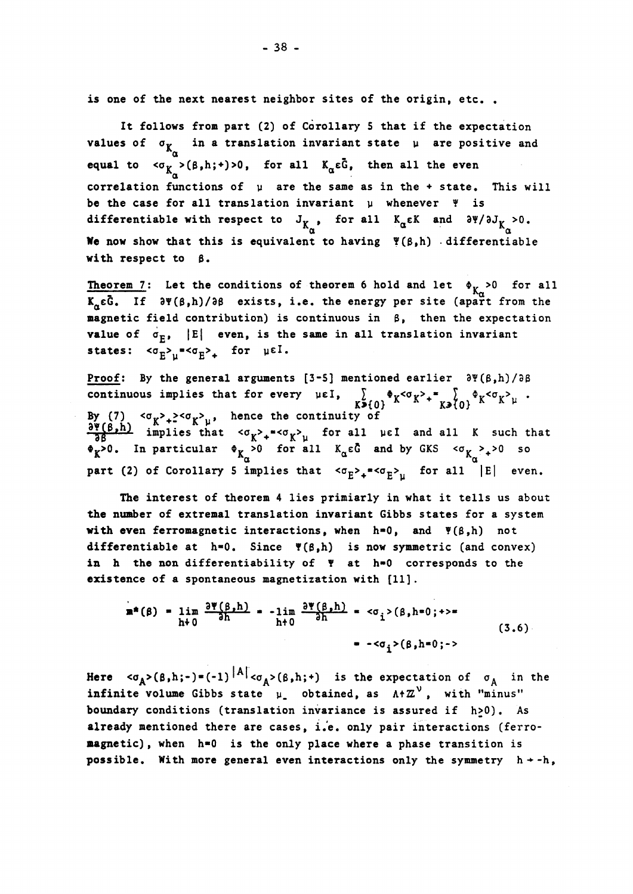is one of the next nearest neighbor sites of the origin, etc..

It follows from part (2) of Corollary 5 that if the expectation **values of**  $σ$ **<sub>***X***<sub>α</sub>** in a translation invariant state μ are positive and</sub> equal to  $\langle \sigma_{K_{\alpha}}( \beta,h;*) \rangle$ , for all  $K_{\alpha} \epsilon \bar{G}$ , then all the even α corrélation functions of μ are the same as in the  $+$  state. This will be the case for all translation invariant μ whenever  $\Psi$  is differentiable with respect to  $J_{K}$ , for all  $K_{\alpha} \epsilon K$  and  $\partial \Psi / \partial J_{K} > 0$ .  $\alpha$  and  $\alpha$  and  $\alpha$  and  $\alpha$  and  $\alpha$  and  $\alpha$  and  $\alpha$  and  $\alpha$  and  $\alpha$  and  $\alpha$  and  $\alpha$  and  $\alpha$  and  $\alpha$  and  $\alpha$  and  $\alpha$  and  $\alpha$  and  $\alpha$  and  $\alpha$  and  $\alpha$  and  $\alpha$  and  $\alpha$  and  $\alpha$  and  $\alpha$  and  $\alpha$  and  $\alpha$  We now show that this is equivalent to having  $\Psi(\beta,h)$  differentiable with respect to  $\beta$ .

Theorem 7: Let the conditions of theorem 6 hold and let  $\phi_{K} > 0$  for all  $K_n \tilde{c}$ . If  $\partial \Psi(\beta,h)/\partial \beta$  exists, i.e. the energy per site (apart from the magnetic field contribution) is continuous in  $\beta$ , then the expectation value of  $\sigma_F$ ,  $|E|$  even, is the same in all translation invariant states:  $\langle \sigma_E \rangle_\mu$ = $\langle \sigma_E \rangle_\pm$  for  $\mu$ ei

Proof: By the general arguments [3-5] mentioned earlier  $\partial \Psi(\beta,h)/\partial \beta$ continuous implies that for every μεΐ. Y *\*γ«Ύ>± 1 \*γ<ο >%ί .*  K\*{0} \* \* K3{0} By (7)  $\langle \sigma_{y} \rangle_{+} \geq \langle \sigma_{y} \rangle_{n}$ , hence the continuity of  $\frac{1}{38}$  implies that  $\langle \sigma_{\chi} \rangle_+ = \langle \sigma_{\chi} \rangle_{\mu}$  for all  $\mu \in I$  and all K such  $>0$ . In particular  $\phi_K > 0$  for all  $K_\alpha \varepsilon \bar{G}$  and by GKS  $\langle \sigma_K >_+ \rangle 0$  so  $\alpha$ part (2) or corollary 5 implies that  $\{^\circ\}^2$ + $\{^\circ\}^{\mu}$  for all  $|\varepsilon|$  eve

The interest of theorem 4 lies primiarly in what it tells us about the number of extremal translation invariant Gibbs states for a system with even ferromagnetic interactions, when  $h=0$ , and  $\Psi(\beta,h)$  not differentiable at  $h=0$ . Since  $\P(\beta,h)$  is now symmetric (and convex) in h the non differentiability of  $Y$  at h=0 corresponds to the existence of a spontaneous magnetization with [11].

$$
\mathbf{m}^*(\beta) = \lim_{h \to 0} \frac{\partial \Psi(\beta, h)}{\partial h} = -\lim_{h \to 0} \frac{\partial \Psi(\beta, h)}{\partial h} = \langle \sigma_i \rangle (\beta, h = 0; \rightarrow)
$$
  
= -\langle \sigma\_i \rangle (\beta, h = 0; \rightarrow) (3.6)

Here  $\langle \sigma_A \rangle (\beta, h;-) = (-1)^{|A|} \langle \sigma_A \rangle (\beta, h;+)$  is the expectation of  $\sigma_A$  in the infinite volume Gibbs state  $\mu$  obtained, as  $A+Z^V$ , with "minus' boundary conditions (translation invariance is assured if h>0). As already mentioned there are cases, i.e. only pair interactions (ferromagnetic), when h=0 is the only place where a phase transition is possible. With more general even interactions only the symmetry  $h + -h$ ,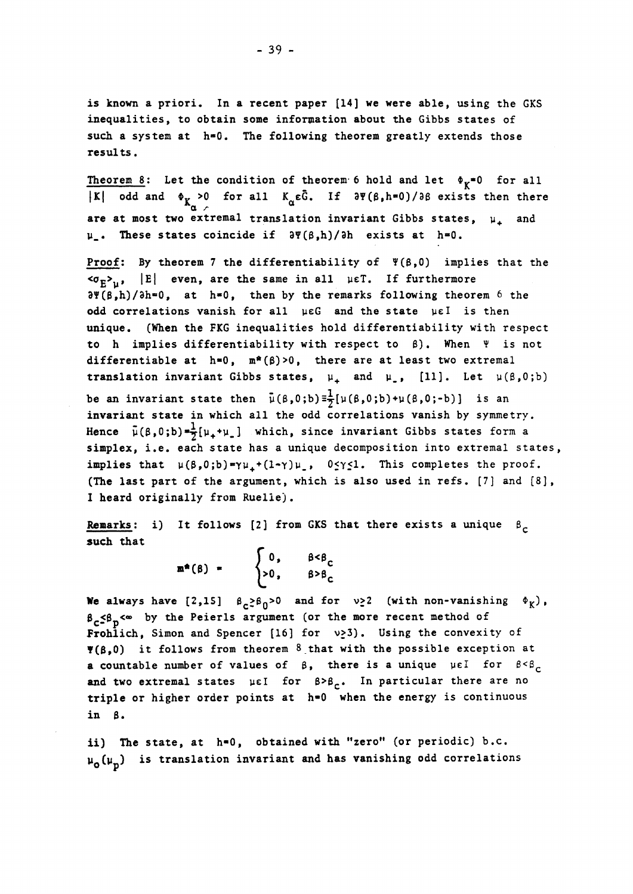is known a priori. In a recent paper [14] we were able, using the GKS inequalities, to obtain some information about the Gibbs states of such a system at h\*0. The following theorem greatly extends those results.

Theorem 8: Let the condition of theorem 6 hold and let  $\phi_K = 0$  for all |K| odd and  $\Phi_{K_{\alpha}} > 0$  for all  $K_{\alpha} \epsilon \bar{G}$ . If  $\partial \Psi(\beta_1 h = 0) / \partial \beta$  exists then there are at most two extremal translation invariant Gibbs states,  $\mu_{\perp}$  and μ\_. Thèse states coïncide if 3Ψ(β,1ι)/31 exists at h»0.

Proof: By theorem 7 the differentiability of Ψ(β,Ο) implies that the  $\langle \sigma_E \rangle_{\mu}$ ,  $|E|$  even, are the same in all μεΤ. If furthermore  $\partial \Psi(\beta,h)/\partial h=0$ , at h=0, then by the remarks following theorem 6 the odd correlations vanish for all με G and the state με I is then unique. (When the FKG inequalities hold differentiability with respect to h implies differentiability with respect to  $\beta$ ). When  $\Psi$  is not differentiable at  $h=0$ ,  $m^*(\beta)>0$ , there are at least two extremal translation invariant Gibbs states,  $\mu_+$  and  $\mu_$ , [11]. Let  $\mu(\beta,0;b)$ be an invariant state then  $\bar{\mu}(\beta,0;b) \equiv \frac{1}{2}[\mu(\beta,0;b)+\mu(\beta,0;b)]$  is an invariant state in which all the odd correlations vanish by symmetry.

Hence  $\bar{\mu}(\beta,0;\bar{b})=\frac{1}{2}[\mu_{+}+\mu_{-}]$  which, since invariant Gibbs states form a simplex, i.e. each state has a unique decomposition into extremal states, implies that  $\mu(\beta,0;\mathbf{b}) = \gamma\mu_+ + (1-\gamma)\mu_-, \quad 0 \leq \gamma \leq 1$ . This completes the proof. (The last part of the argument, which is also used in refs. [7] and [8], I heard originally from Ruelle).

Remarks: i) It follows [2] from GKS that there exists a unique  $\beta_c$ such that

> $\begin{cases} 0, & \beta < \beta_c \\ >0, & \beta > \beta_c \end{cases}$ >0, *t>t<sup>c</sup>*

We always have  $[2,15]$   $\beta_{c}^2 \beta_0^2 > 0$  and for  $v_2^2$  (with non-vanishing  $\phi_{\chi}$ ),  $\beta_c \leq \beta_n \leq \infty$  by the Peierls argument (or the more recent method of Frohlich, Simon and Spencer [16] for  $v<sub>2</sub>3$ ). Using the convexity of  $\P(\beta,0)$  it follows from theorem 8 that with the possible exception at a countable number of values of  $\beta$ , there is a unique  $\mu \in I$  for  $\beta < \beta_c$ and two extremal states με for  $\beta > \beta_c$ . In particular there are no triple or higher order points at  $h=0$  when the energy is continuous in  $\beta$ .

ii) The state, at  $h=0$ , obtained with "zero" (or periodic) b.c.  $\mu_0(\mu_n)$  is translation invariant and has vanishing odd correlations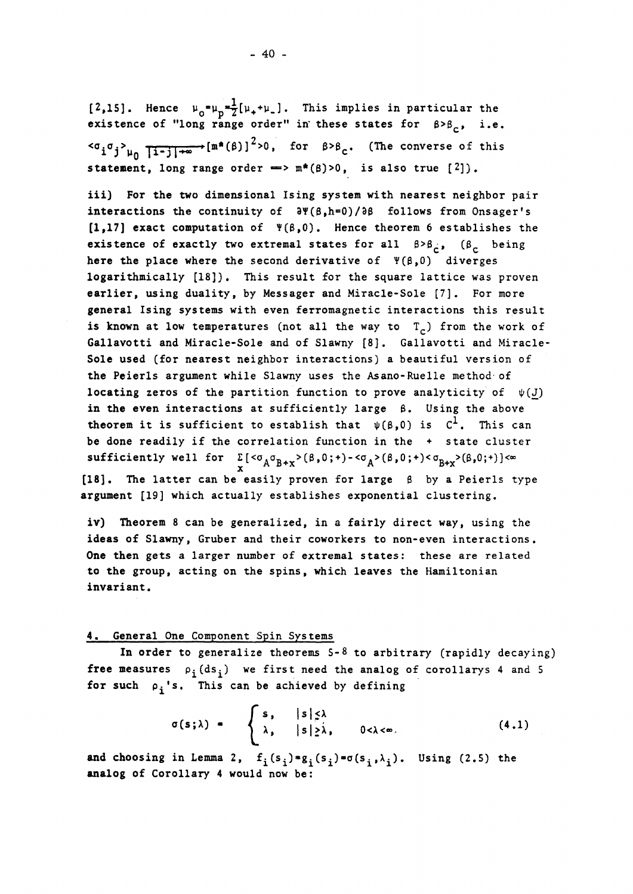$[2,15]$ . Hence  $\mu_{0} = \mu_{0} + \frac{1}{2}[\mu_{+} + \mu_{-}]$ . This implies in particular the existence of "long range order" in these states for  $\beta > \beta_c$ , i.e.  $\langle \sigma_i \sigma_j \rangle_{\mu_0}$   $\overline{1-j|+ \infty}$   $\{m^*(\beta)\}^2 > 0$ , for  $\beta > \beta_c$ . (The converse of this statement, long range order =>  $m^*(\beta) > 0$ , is also true  $[2]$ ).

iii) For the two dimensional Ising **System** with nearest neighbor pair interactions the continuity of  $\partial \Psi(\beta_n h=0)/\partial \beta$  follows from Onsager's [1,17] exact computation of  $\Psi(\beta,0)$ . Hence theorem 6 establishes the existence of exactly two extremal states for all  $\beta > \beta_c$ , ( $\beta_c$  being here the place where the second derivative of  $\Psi(\beta,0)$  diverges logarithmically [18]). This result for the square lattice was proven earlier, using duality, by Messager and Miracle-Sole [7]. For more general Ising systems with even ferromagnetic interactions this result is known at low temperatures (not all the way to  $T<sub>c</sub>$ ) from the work of Gallavotti and Miracle-Sole and of Slawny [8]. Gallavotti and Miracle-Sole used (for nearest neighbor interactions) a beautiful version of the Peierls argument while Slawny uses the Asano-Ruelle method of locating zeros of the partition function to prove analyticity of  $\psi(J)$ in the even interactions at sufficiently large  $\beta$ . Using the above theorem it is sufficient to establish that  $\psi(\beta,0)$  is  $C^1$ . This can be done readily if the correlation function in the + state cluster sufficiently well for  $\Sigma$  [ $<\sigma_A \sigma_{B+x}>(\beta, 0; +) - <\sigma_A>(\beta, 0; +) < \sigma_{B+x}>(\beta, 0; +)$ ] $<\infty$ Represent of the 1st for the Section of the 1970s of the 1970s of the 1980s of the 1980s of the 1980s of the 1980s of the 1980s of the 1980s of the 1980s of the 1980s of the 1980s of the 1980s of the 1980s of the 1980s of argument [19] which actually establishes exponential clustering.

iv) Theorem 8 can be generalized, in a fairly direct way, using the ideas of Slawny, Gruber and their coworkers to non-even interactions. One then gets a larger number of extremal states: these are related to the group, acting on the spins, which leaves the Hamiltonian invariant.

argument  $\mathcal{I}$  which actually establishes exponential dust establishes exponential dust exponential dust establishes exponential dust exponential dust establishes exponential dust exponential dust exponential dust expo

#### 4. General One Component Spin Systems

In order to generalize theorems 5-8 to arbitrary (rapidly decaying) free measures  $\rho_i(ds_i)$  we first need the analog of corollarys 4 and 5 for such  $\rho_i$ 's. This can be achieved by defining

$$
\sigma(s;\lambda) = \begin{cases} s, & |s| \leq \lambda \\ \lambda, & |s| \geq \lambda, \end{cases} \qquad 0 < \lambda < \infty. \tag{4.1}
$$

and choosing in Lemma 2,  $f_i(s_i) * g_i(s_i) * \sigma(s_i, \lambda_i)$ . Using (2.5) the analog of Corollary 4 would now be: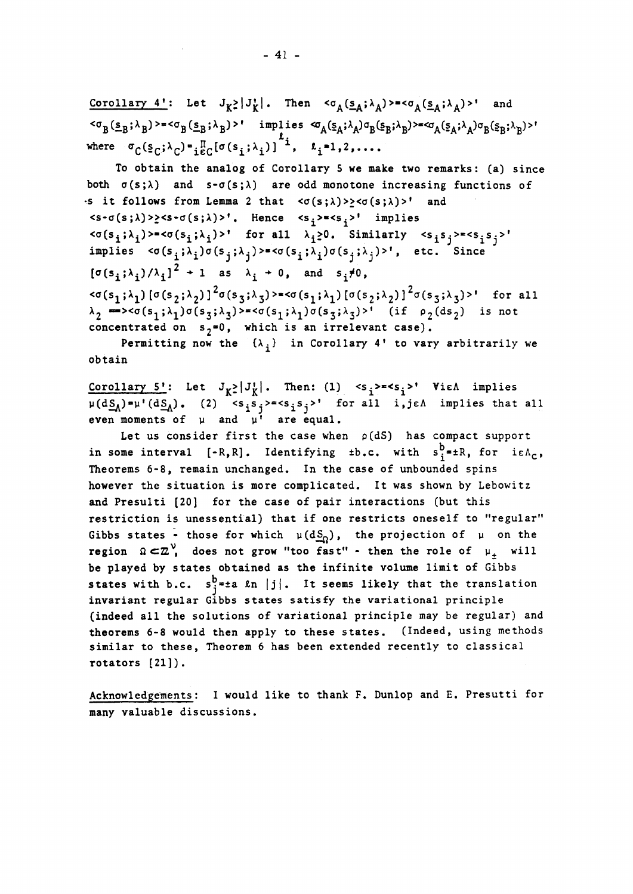Corollary 4': Let  $J_K^{\geq} | J_K^{\perp}|$ . Then  $\langle \sigma_A(\underline{s}_A; \lambda_A) \rangle = \langle \sigma_A(\underline{s}_A; \lambda_A) \rangle'$  a  $\mathcal{L}_{\mathbf{B}}^{\mathbf{C}}(\mathbf{S}_{\mathbf{B}}, \mathbf{A}_{\mathbf{B}})$ <sup>2</sup>  $\mathcal{L}_{\mathbf{B}}^{\mathbf{C}}(\mathbf{S}_{\mathbf{B}}, \mathbf{A}_{\mathbf{B}})$  is  $\mathcal{L}_{\mathbf{A}}^{\mathbf{C}}(\mathbf{S}_{\mathbf{A}}, \mathbf{A}_{\mathbf{A}})$ where  $\sigma_C (\underline{s}_C; \lambda_C) = \frac{\Pi}{16C} [\sigma(s_i; \lambda_i)]^{-1}$ ,  $k_i = 1, 2, \ldots$ .

To obtain the analog of Corollary 5 we make two remarks: (a) since both  $\sigma(s;\lambda)$  and  $s-\sigma(s;\lambda)$  are odd monotone increasing functions of  $\cdot$ s it follows from Lemma 2 that  $\langle \sigma(s;\lambda)\rangle \geq \langle \sigma(s;\lambda)\rangle$ ' and  $\langle s-\sigma(s;\lambda)\rangle$   $\ge$   $\langle s-\sigma(s;\lambda)\rangle$ . Hence  $\langle s,\rangle$   $\le$   $\langle s,\rangle$  implies  $\langle \sigma(s_i;\lambda_i)\rangle$  =  $\langle \sigma(s_i;\lambda_i)\rangle'$  for all  $\lambda_i>0$ . Similarly  $\langle s_i|s_j\rangle$  =  $\langle s_i|s_j\rangle'$ implies  $\langle \sigma(s_i;\lambda_i)\sigma(s_j;\lambda_j)\rangle = \langle \sigma(s_i;\lambda_i)\sigma(s_j;\lambda_j)\rangle$ ', etc. Since  $[\sigma(s_i;\lambda_i)/\lambda_i]^2 + 1$  as  $\lambda_i + 0$ , and  $s_i \neq 0$ ,  $\langle \sigma(s_1;\lambda_1) [\sigma(s_2;\lambda_2)]^2 \sigma(s_3;\lambda_3\rangle \rangle = \langle \sigma(s_1;\lambda_1) [\sigma(s_2;\lambda_2)]^2 \sigma(s_3;\lambda_3)\rangle$ <sup>\*</sup> for all  $\lambda_2$  => $\langle \sigma(s_1;\lambda_1)\sigma(s_3;\lambda_3)\rangle$  = $\langle \sigma(s_1;\lambda_1)\sigma(s_3;\lambda_3)\rangle$ <sup>f</sup> (if  $\rho_2(ds_2)$  is not concentrated on  $s_2 = 0$ , which is an irrelevant case).

Permitting now the  $\{\lambda_i\}$  in Corollary 4' to vary arbitrarily we obtain

Corollary 5': Let  $J_{K^2}|J_K^1|$ . Then: (1)  $\langle s_j \rangle = \langle s_i \rangle$ ' Vie $\Lambda$  implies  $\mu(d\underline{S_A})\bullet\mu^{\dagger}(d\underline{S_A})$ . (2)  $\cos^{\dagger}\sin^{\dagger}\sin^{\dagger}\sin^{\dagger}\sin^{\dagger}\sin^{\dagger}\sin^{\dagger}\sin^{\dagger}\sin^{\dagger}\sin^{\dagger}\sin^{\dagger}\sin^{\dagger}\sin^{\dagger}\sin^{\dagger}\sin^{\dagger}\sin^{\dagger}\sin^{\dagger}\sin^{\dagger}\sin^{\dagger}\sin^{\dagger}\sin^{\dagger}\sin^{\dagger}\sin^{\dagger}\sin^{\dagger}\sin^{\dagger}\sin^{\dagger}\sin^{\dagger}\sin^{\dagger}\sin^{\dagger}\sin^{\dagger}\sin^{\d$ even moments of  $\mu$  and  $\mu'$  are equal.

Let us consider first the case when  $\rho(dS)$  has compact support in some interval [-R,R]. Identifying  $\pm b$ .c. with  $s^b$ <sub>s</sub> $\pm k$ , for i $\epsilon A_c$ , Theorems 6-8, remain unchanged. In the case of unbounded spins however the situation is more complicated. It was shown by Lebowitz and Presulti [20] for the case of pair interactions (but this restriction is unessential) that if one restricts oneself to "regular' Gibbs states - those for which  $\mu(dS_0)$ , the projection of  $\mu$  on the region  $\Omega \subset \mathbb{Z}^{\vee}$ , does not grow "too fast" - then the role of  $\mu_{\pm}$  will be played by states obtained as the infinite volume limit of Gibbs states with b.c.  $s_i^b$ =±a  $\ln |j|$ . It seems likely that the translation invariant regular Gibbs states satisfy the variational principle (indeed ail the solutions of variational principle may be regular) and theorems 6-8 would then apply to these states. (Indeed, using methods similar to these, Theorem 6 has been extended recently to classical rotators [21]).

Acknowledgements: I would like to thank F. Dunlop and E. Presutti for many valuable discussions.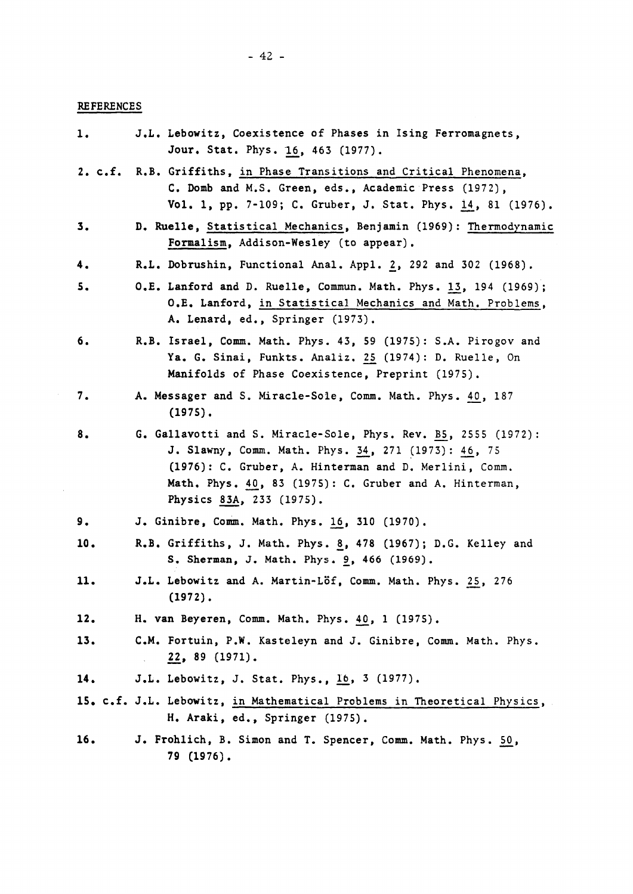## **REFERENCES**

| 1.  | J.L. Lebowitz, Coexistence of Phases in Ising Ferromagnets,<br>Jour. Stat. Phys. 16, 463 (1977).                                                                                                                                                                     |
|-----|----------------------------------------------------------------------------------------------------------------------------------------------------------------------------------------------------------------------------------------------------------------------|
|     | 2. c.f. R.B. Griffiths, in Phase Transitions and Critical Phenomena,<br>C. Domb and M.S. Green, eds., Academic Press (1972),<br>Vol. 1, pp. 7-109; C. Gruber, J. Stat. Phys. 14, 81 (1976).                                                                          |
| 3.  | D. Ruelle, Statistical Mechanics, Benjamin (1969): Thermodynamic<br>Formalism, Addison-Wesley (to appear).                                                                                                                                                           |
| 4.  | R.L. Dobrushin, Functional Anal. Appl. 2, 292 and 302 (1968).                                                                                                                                                                                                        |
| 5.  | O.E. Lanford and D. Ruelle, Commun. Math. Phys. 13, 194 (1969);<br>O.E. Lanford, in Statistical Mechanics and Math. Problems,<br>A. Lenard, ed., Springer (1973).                                                                                                    |
| б.  | R.B. Israel, Comm. Math. Phys. 43, 59 (1975): S.A. Pirogov and<br>Ya. G. Sinai, Funkts. Analiz. 25 (1974): D. Ruelle, On<br>Manifolds of Phase Coexistence, Preprint (1975).                                                                                         |
| 7.  | A. Messager and S. Miracle-Sole, Comm. Math. Phys. 40, 187<br>$(1975)$ .                                                                                                                                                                                             |
| 8.  | G. Gallavotti and S. Miracle-Sole, Phys. Rev. B5, 2555 (1972):<br>J. Slawny, Comm. Math. Phys. 34, 271 (1973): 46, 75<br>(1976): C. Gruber, A. Hinterman and D. Merlini, Comm.<br>Math. Phys. 40, 83 (1975): C. Gruber and A. Hinterman,<br>Physics 83A, 233 (1975). |
| 9.  | J. Ginibre, Comm. Math. Phys. 16, 310 (1970).                                                                                                                                                                                                                        |
| 10. | R.B. Griffiths, J. Math. Phys. 8, 478 (1967); D.G. Kelley and<br>S. Sherman, J. Math. Phys. 9, 466 (1969).                                                                                                                                                           |
| 11. | J.L. Lebowitz and A. Martin-Löf, Comm. Math. Phys. 25, 276<br>$(1972)$ .                                                                                                                                                                                             |
| 12. | H. van Beyeren, Comm. Math. Phys. 40, 1 (1975).                                                                                                                                                                                                                      |
| 13. | C.M. Fortuin, P.W. Kasteleyn and J. Ginibre, Comm. Math. Phys.<br>22, 89 (1971).                                                                                                                                                                                     |
| 14. | J.L. Lebowitz, J. Stat. Phys., 16, 3 (1977).                                                                                                                                                                                                                         |
|     | 15. c.f. J.L. Lebowitz, in Mathematical Problems in Theoretical Physics,<br>H. Araki, ed., Springer (1975).                                                                                                                                                          |
| 16. | J. Frohlich, B. Simon and T. Spencer, Comm. Math. Phys. 50,<br>79 (1976).                                                                                                                                                                                            |